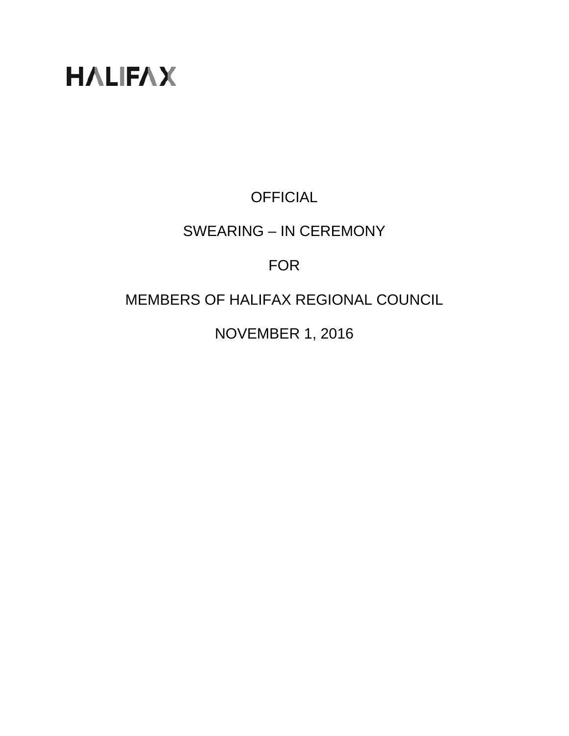# **HALIFAX**

## **OFFICIAL**

#### SWEARING – IN CEREMONY

#### FOR

### MEMBERS OF HALIFAX REGIONAL COUNCIL

NOVEMBER 1, 2016